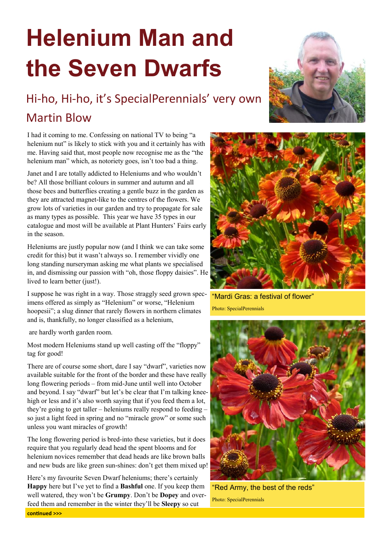## **Helenium Man and the Seven Dwarfs**

## Hi-ho, Hi-ho, it's SpecialPerennials' very own Martin Blow

I had it coming to me. Confessing on national TV to being "a helenium nut" is likely to stick with you and it certainly has with me. Having said that, most people now recognise me as the "the helenium man" which, as notoriety goes, isn't too bad a thing.

Janet and I are totally addicted to Heleniums and who wouldn't be? All those brilliant colours in summer and autumn and all those bees and butterflies creating a gentle buzz in the garden as they are attracted magnet-like to the centres of the flowers. We grow lots of varieties in our garden and try to propagate for sale as many types as possible. This year we have 35 types in our catalogue and most will be available at Plant Hunters' Fairs early in the season.

Heleniums are justly popular now (and I think we can take some credit for this) but it wasn't always so. I remember vividly one long standing nurseryman asking me what plants we specialised in, and dismissing our passion with "oh, those floppy daisies". He lived to learn better (just!).

I suppose he was right in a way. Those straggly seed grown specimens offered as simply as "Helenium" or worse, "Helenium hoopesii"; a slug dinner that rarely flowers in northern climates and is, thankfully, no longer classified as a helenium,

are hardly worth garden room.

Most modern Heleniums stand up well casting off the "floppy" tag for good!

There are of course some short, dare I say "dwarf", varieties now available suitable for the front of the border and these have really long flowering periods – from mid-June until well into October and beyond. I say "dwarf" but let's be clear that I'm talking kneehigh or less and it's also worth saying that if you feed them a lot, they're going to get taller – heleniums really respond to feeding – so just a light feed in spring and no "miracle grow" or some such unless you want miracles of growth!

The long flowering period is bred-into these varieties, but it does require that you regularly dead head the spent blooms and for helenium novices remember that dead heads are like brown balls and new buds are like green sun-shines: don't get them mixed up!

Here's my favourite Seven Dwarf heleniums; there's certainly **Happy** here but I've yet to find a **Bashful** one. If you keep them well watered, they won't be **Grumpy**. Don't be **Dopey** and overfeed them and remember in the winter they'll be **Sleepy** so cut **continued >>>**





"Mardi Gras: a festival of flower" Photo: SpecialPerennials



"Red Army, the best of the reds" Photo: SpecialPerennials